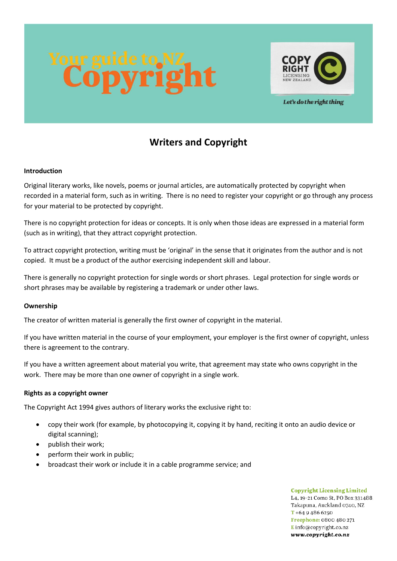

Let's do the right thing

# **Writers and Copyright**

# **Introduction**

Original literary works, like novels, poems or journal articles, are automatically protected by copyright when recorded in a material form, such as in writing. There is no need to register your copyright or go through any process for your material to be protected by copyright.

There is no copyright protection for ideas or concepts. It is only when those ideas are expressed in a material form (such as in writing), that they attract copyright protection.

To attract copyright protection, writing must be 'original' in the sense that it originates from the author and is not copied. It must be a product of the author exercising independent skill and labour.

There is generally no copyright protection for single words or short phrases. Legal protection for single words or short phrases may be available by registering a trademark or under other laws.

#### **Ownership**

The creator of written material is generally the first owner of copyright in the material.

If you have written material in the course of your employment, your employer is the first owner of copyright, unless there is agreement to the contrary.

If you have a written agreement about material you write, that agreement may state who owns copyright in the work. There may be more than one owner of copyright in a single work.

#### **Rights as a copyright owner**

The Copyright Act 1994 gives authors of literary works the exclusive right to:

- copy their work (for example, by photocopying it, copying it by hand, reciting it onto an audio device or digital scanning);
- publish their work;
- perform their work in public;
- broadcast their work or include it in a cable programme service; and

**Copyright Licensing Limited** L4, 19-21 Como St, PO Box 331488, Takapuna, Auckland 0740, NZ  $T + 6494866250$ Freephone: 0800 480 271 Einfo@copyright.co.nz www.copyright.co.nz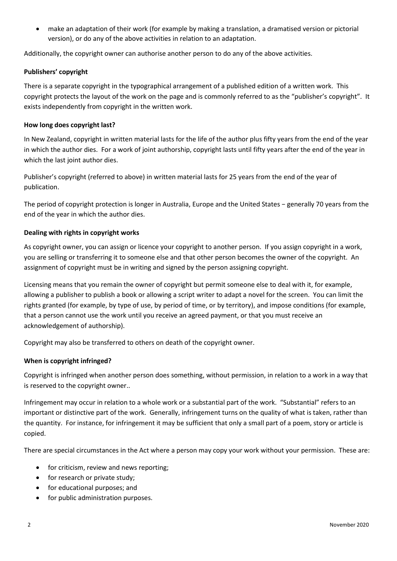• make an adaptation of their work (for example by making a translation, a dramatised version or pictorial version), or do any of the above activities in relation to an adaptation.

Additionally, the copyright owner can authorise another person to do any of the above activities.

#### **Publishers' copyright**

There is a separate copyright in the typographical arrangement of a published edition of a written work. This copyright protects the layout of the work on the page and is commonly referred to as the "publisher's copyright". It exists independently from copyright in the written work.

# **How long does copyright last?**

In New Zealand, copyright in written material lasts for the life of the author plus fifty years from the end of the year in which the author dies. For a work of joint authorship, copyright lasts until fifty years after the end of the year in which the last joint author dies.

Publisher's copyright (referred to above) in written material lasts for 25 years from the end of the year of publication.

The period of copyright protection is longer in Australia, Europe and the United States − generally 70 years from the end of the year in which the author dies.

# **Dealing with rights in copyright works**

As copyright owner, you can assign or licence your copyright to another person. If you assign copyright in a work, you are selling or transferring it to someone else and that other person becomes the owner of the copyright. An assignment of copyright must be in writing and signed by the person assigning copyright.

Licensing means that you remain the owner of copyright but permit someone else to deal with it, for example, allowing a publisher to publish a book or allowing a script writer to adapt a novel for the screen. You can limit the rights granted (for example, by type of use, by period of time, or by territory), and impose conditions (for example, that a person cannot use the work until you receive an agreed payment, or that you must receive an acknowledgement of authorship).

Copyright may also be transferred to others on death of the copyright owner.

#### **When is copyright infringed?**

Copyright is infringed when another person does something, without permission, in relation to a work in a way that is reserved to the copyright owner..

Infringement may occur in relation to a whole work or a substantial part of the work. "Substantial" refers to an important or distinctive part of the work. Generally, infringement turns on the quality of what is taken, rather than the quantity. For instance, for infringement it may be sufficient that only a small part of a poem, story or article is copied.

There are special circumstances in the Act where a person may copy your work without your permission. These are:

- for criticism, review and news reporting;
- for research or private study;
- for educational purposes; and
- for public administration purposes.